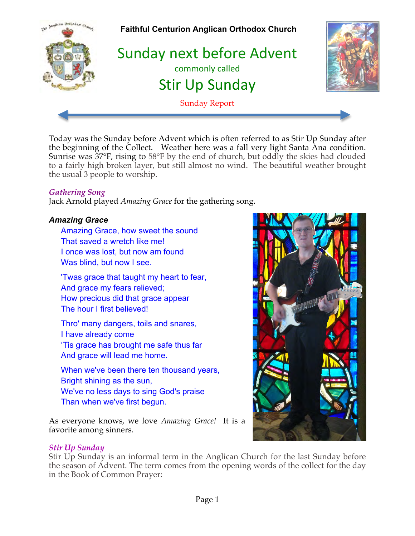

Today was the Sunday before Advent which is often referred to as Stir Up Sunday after the beginning of the Collect. Weather here was a fall very light Santa Ana condition. Sunrise was 37°F, rising to 58°F by the end of church, but oddly the skies had clouded to a fairly high broken layer, but still almost no wind. The beautiful weather brought the usual 3 people to worship.

### *Gathering Song*

Jack Arnold played *Amazing Grace* for the gathering song.

### *Amazing Grace*

Amazing Grace, how sweet the sound That saved a wretch like me! I once was lost, but now am found Was blind, but now I see.

'Twas grace that taught my heart to fear, And grace my fears relieved; How precious did that grace appear The hour I first believed!

Thro' many dangers, toils and snares, I have already come 'Tis grace has brought me safe thus far And grace will lead me home.

When we've been there ten thousand years, Bright shining as the sun, We've no less days to sing God's praise Than when we've first begun.

As everyone knows, we love *Amazing Grace!* It is a favorite among sinners.

#### *Stir Up Sunday*

Stir Up Sunday is an informal term in the Anglican Church for the last Sunday before the season of Advent. The term comes from the opening words of the collect for the day in the Book of Common Prayer:

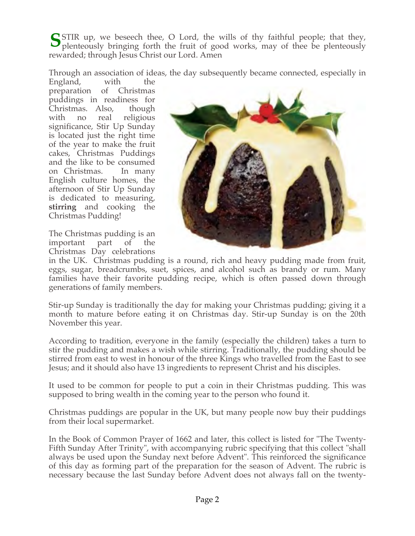STIR up, we beseech thee, O Lord, the wills of thy faithful people; that they, plenteously bringing forth the fruit of good works, may of thee be plenteously plenteously bringing forth the fruit of good works, may of thee be plenteously rewarded; through Jesus Christ our Lord. Amen

Through an association of ideas, the day subsequently became connected, especially in

England, with the preparation of Christmas puddings in readiness for Christmas. Also, though with no real religious significance, Stir Up Sunday is located just the right time of the year to make the fruit cakes, Christmas Puddings and the like to be consumed on Christmas. In many English culture homes, the afternoon of Stir Up Sunday is dedicated to measuring, **stirring** and cooking the Christmas Pudding!

The Christmas pudding is an important part of the Christmas Day celebrations



in the UK. Christmas pudding is a round, rich and heavy pudding made from fruit, eggs, sugar, breadcrumbs, suet, spices, and alcohol such as brandy or rum. Many families have their favorite pudding recipe, which is often passed down through generations of family members.

Stir-up Sunday is traditionally the day for making your Christmas pudding; giving it a month to mature before eating it on Christmas day. Stir-up Sunday is on the 20th November this year.

According to tradition, everyone in the family (especially the children) takes a turn to stir the pudding and makes a wish while stirring. Traditionally, the pudding should be stirred from east to west in honour of the three Kings who travelled from the East to see Jesus; and it should also have 13 ingredients to represent Christ and his disciples.

It used to be common for people to put a coin in their Christmas pudding. This was supposed to bring wealth in the coming year to the person who found it.

Christmas puddings are popular in the UK, but many people now buy their puddings from their local supermarket.

In the Book of Common Prayer of 1662 and later, this collect is listed for "The Twenty-Fifth Sunday After Trinity", with accompanying rubric specifying that this collect "shall always be used upon the Sunday next before Advent". This reinforced the significance of this day as forming part of the preparation for the season of Advent. The rubric is necessary because the last Sunday before Advent does not always fall on the twenty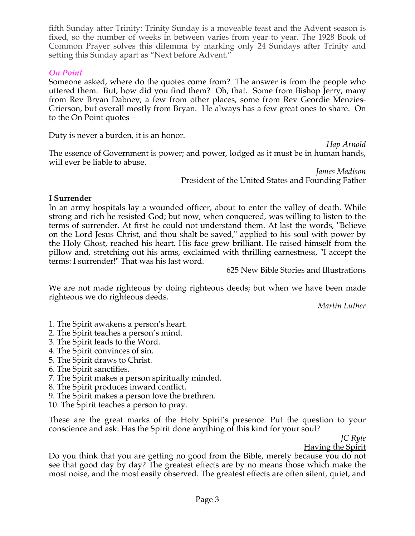fifth Sunday after Trinity: Trinity Sunday is a moveable feast and the Advent season is fixed, so the number of weeks in between varies from year to year. The 1928 Book of Common Prayer solves this dilemma by marking only 24 Sundays after Trinity and setting this Sunday apart as "Next before Advent."

### *On Point*

Someone asked, where do the quotes come from? The answer is from the people who uttered them. But, how did you find them? Oh, that. Some from Bishop Jerry, many from Rev Bryan Dabney, a few from other places, some from Rev Geordie Menzies-Grierson, but overall mostly from Bryan. He always has a few great ones to share. On to the On Point quotes –

Duty is never a burden, it is an honor.

*Hap Arnold* The essence of Government is power; and power, lodged as it must be in human hands, will ever be liable to abuse.

> *James Madison* President of the United States and Founding Father

#### **I Surrender**

In an army hospitals lay a wounded officer, about to enter the valley of death. While strong and rich he resisted God; but now, when conquered, was willing to listen to the terms of surrender. At first he could not understand them. At last the words, "Believe on the Lord Jesus Christ, and thou shalt be saved," applied to his soul with power by the Holy Ghost, reached his heart. His face grew brilliant. He raised himself from the pillow and, stretching out his arms, exclaimed with thrilling earnestness, "I accept the terms: I surrender!" That was his last word.

625 New Bible Stories and Illustrations

We are not made righteous by doing righteous deeds; but when we have been made righteous we do righteous deeds.

*Martin Luther*

1. The Spirit awakens a person's heart.

2. The Spirit teaches a person's mind.

- 3. The Spirit leads to the Word.
- 4. The Spirit convinces of sin.
- 5. The Spirit draws to Christ.
- 6. The Spirit sanctifies.
- 7. The Spirit makes a person spiritually minded.
- 8. The Spirit produces inward conflict.
- 9. The Spirit makes a person love the brethren.
- 10. The Spirit teaches a person to pray.

These are the great marks of the Holy Spirit's presence. Put the question to your conscience and ask: Has the Spirit done anything of this kind for your soul?

*JC Ryle*

Having the Spirit

Do you think that you are getting no good from the Bible, merely because you do not see that good day by day? The greatest effects are by no means those which make the most noise, and the most easily observed. The greatest effects are often silent, quiet, and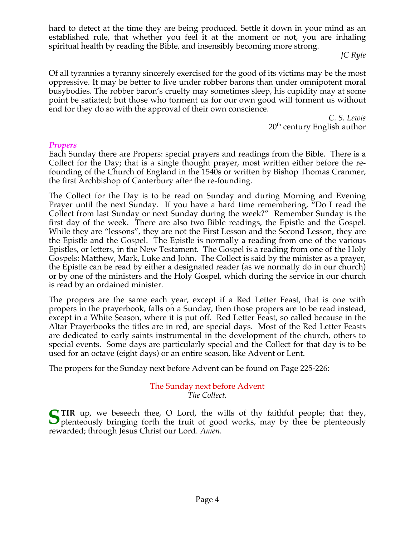hard to detect at the time they are being produced. Settle it down in your mind as an established rule, that whether you feel it at the moment or not, you are inhaling spiritual health by reading the Bible, and insensibly becoming more strong.

 *JC Ryle*

Of all tyrannies a tyranny sincerely exercised for the good of its victims may be the most oppressive. It may be better to live under robber barons than under omnipotent moral busybodies. The robber baron's cruelty may sometimes sleep, his cupidity may at some point be satiated; but those who torment us for our own good will torment us without end for they do so with the approval of their own conscience.

> *C. S. Lewis*  $20<sup>th</sup>$  century English author

#### *Propers*

Each Sunday there are Propers: special prayers and readings from the Bible. There is a Collect for the Day; that is a single thought prayer, most written either before the refounding of the Church of England in the 1540s or written by Bishop Thomas Cranmer, the first Archbishop of Canterbury after the re-founding.

The Collect for the Day is to be read on Sunday and during Morning and Evening Prayer until the next Sunday. If you have a hard time remembering, "Do I read the Collect from last Sunday or next Sunday during the week?" Remember Sunday is the first day of the week. There are also two Bible readings, the Epistle and the Gospel. While they are "lessons", they are not the First Lesson and the Second Lesson, they are the Epistle and the Gospel. The Epistle is normally a reading from one of the various Epistles, or letters, in the New Testament. The Gospel is a reading from one of the Holy Gospels: Matthew, Mark, Luke and John. The Collect is said by the minister as a prayer, the Epistle can be read by either a designated reader (as we normally do in our church) or by one of the ministers and the Holy Gospel, which during the service in our church is read by an ordained minister.

The propers are the same each year, except if a Red Letter Feast, that is one with propers in the prayerbook, falls on a Sunday, then those propers are to be read instead, except in a White Season, where it is put off. Red Letter Feast, so called because in the Altar Prayerbooks the titles are in red, are special days. Most of the Red Letter Feasts are dedicated to early saints instrumental in the development of the church, others to special events. Some days are particularly special and the Collect for that day is to be used for an octave (eight days) or an entire season, like Advent or Lent.

The propers for the Sunday next before Advent can be found on Page 225-226:

#### The Sunday next before Advent *The Collect.*

**TIR** up, we beseech thee, O Lord, the wills of thy faithful people; that they, STIR up, we beseech thee, O Lord, the wills of thy faithful people; that they, plenteously bringing forth the fruit of good works, may by thee be plenteously rewarded; through Jesus Christ our Lord. *Amen*.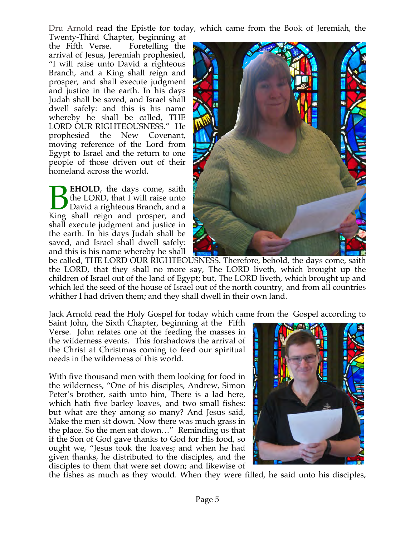Dru Arnold read the Epistle for today, which came from the Book of Jeremiah, the

Twenty-Third Chapter, beginning at the Fifth Verse. Foretelling the arrival of Jesus, Jeremiah prophesied, "I will raise unto David a righteous Branch, and a King shall reign and prosper, and shall execute judgment and justice in the earth. In his days Judah shall be saved, and Israel shall dwell safely: and this is his name whereby he shall be called, THE LORD OUR RIGHTEOUSNESS." He prophesied the New Covenant, moving reference of the Lord from Egypt to Israel and the return to one people of those driven out of their homeland across the world.

**EHOLD**, the days come, saith the LORD, that I will raise unto David a righteous Branch, and a **EHOLD**, the days come, saith<br>the LORD, that I will raise unto<br>David a righteous Branch, and a<br>King shall reign and prosper, and shall execute judgment and justice in the earth. In his days Judah shall be saved, and Israel shall dwell safely: and this is his name whereby he shall



be called, THE LORD OUR RIGHTEOUSNESS. Therefore, behold, the days come, saith the LORD, that they shall no more say, The LORD liveth, which brought up the children of Israel out of the land of Egypt; but, The LORD liveth, which brought up and which led the seed of the house of Israel out of the north country, and from all countries whither I had driven them; and they shall dwell in their own land.

Jack Arnold read the Holy Gospel for today which came from the Gospel according to

Saint John, the Sixth Chapter, beginning at the Fifth Verse. John relates one of the feeding the masses in the wilderness events. This forshadows the arrival of the Christ at Christmas coming to feed our spiritual needs in the wilderness of this world.

With five thousand men with them looking for food in the wilderness, "One of his disciples, Andrew, Simon Peter's brother, saith unto him, There is a lad here, which hath five barley loaves, and two small fishes: but what are they among so many? And Jesus said, Make the men sit down. Now there was much grass in the place. So the men sat down…" Reminding us that if the Son of God gave thanks to God for His food, so ought we, "Jesus took the loaves; and when he had given thanks, he distributed to the disciples, and the disciples to them that were set down; and likewise of



the fishes as much as they would. When they were filled, he said unto his disciples,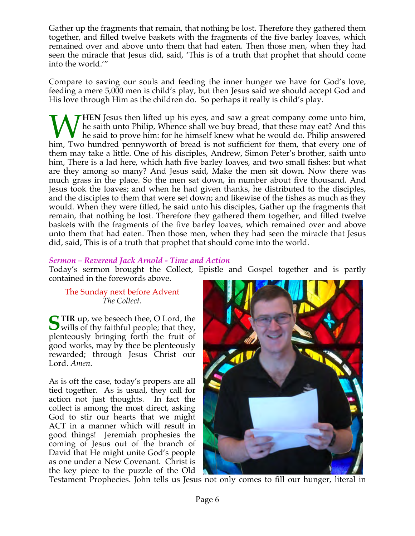Gather up the fragments that remain, that nothing be lost. Therefore they gathered them together, and filled twelve baskets with the fragments of the five barley loaves, which remained over and above unto them that had eaten. Then those men, when they had seen the miracle that Jesus did, said, 'This is of a truth that prophet that should come into the world.'"

Compare to saving our souls and feeding the inner hunger we have for God's love, feeding a mere 5,000 men is child's play, but then Jesus said we should accept God and His love through Him as the children do. So perhaps it really is child's play.

**HEN** Jesus then lifted up his eyes, and saw a great company come unto him, he saith unto Philip, Whence shall we buy bread, that these may eat? And this he said to prove him: for he himself knew what he would do. Philip answered Whendel up his eyes, and saw a great company come unto him, the saith unto Philip, Whence shall we buy bread, that these may eat? And this he said to prove him: for he himself knew what he would do. Philip answered him, Tw them may take a little. One of his disciples, Andrew, Simon Peter's brother, saith unto him, There is a lad here, which hath five barley loaves, and two small fishes: but what are they among so many? And Jesus said, Make the men sit down. Now there was much grass in the place. So the men sat down, in number about five thousand. And Jesus took the loaves; and when he had given thanks, he distributed to the disciples, and the disciples to them that were set down; and likewise of the fishes as much as they would. When they were filled, he said unto his disciples, Gather up the fragments that remain, that nothing be lost. Therefore they gathered them together, and filled twelve baskets with the fragments of the five barley loaves, which remained over and above unto them that had eaten. Then those men, when they had seen the miracle that Jesus did, said, This is of a truth that prophet that should come into the world.

### *Sermon – Reverend Jack Arnold - Time and Action*

Today's sermon brought the Collect, Epistle and Gospel together and is partly contained in the forewords above.

#### The Sunday next before Advent *The Collect.*

**TIR** up, we beseech thee, O Lord, the **S** $\bullet$  wills of thy faithful people; that they, plenteously bringing forth the fruit of good works, may by thee be plenteously rewarded; through Jesus Christ our Lord. *Amen*.

As is oft the case, today's propers are all tied together. As is usual, they call for action not just thoughts. In fact the collect is among the most direct, asking God to stir our hearts that we might ACT in a manner which will result in good things! Jeremiah prophesies the coming of Jesus out of the branch of David that He might unite God's people as one under a New Covenant. Christ is the key piece to the puzzle of the Old



Testament Prophecies. John tells us Jesus not only comes to fill our hunger, literal in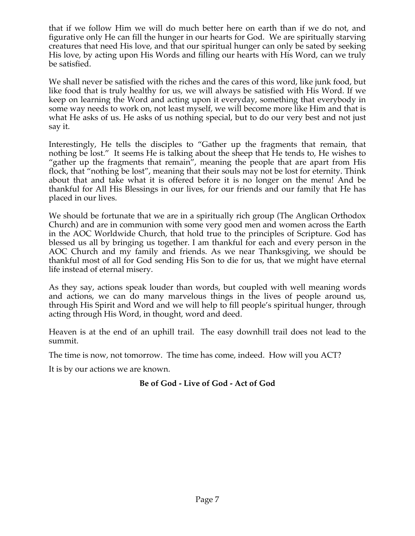that if we follow Him we will do much better here on earth than if we do not, and figurative only He can fill the hunger in our hearts for God. We are spiritually starving creatures that need His love, and that our spiritual hunger can only be sated by seeking His love, by acting upon His Words and filling our hearts with His Word, can we truly be satisfied.

We shall never be satisfied with the riches and the cares of this word, like junk food, but like food that is truly healthy for us, we will always be satisfied with His Word. If we keep on learning the Word and acting upon it everyday, something that everybody in some way needs to work on, not least myself, we will become more like Him and that is what He asks of us. He asks of us nothing special, but to do our very best and not just say it.

Interestingly, He tells the disciples to "Gather up the fragments that remain, that nothing be lost." It seems He is talking about the sheep that He tends to, He wishes to "gather up the fragments that remain", meaning the people that are apart from His flock, that "nothing be lost", meaning that their souls may not be lost for eternity. Think about that and take what it is offered before it is no longer on the menu! And be thankful for All His Blessings in our lives, for our friends and our family that He has placed in our lives.

We should be fortunate that we are in a spiritually rich group (The Anglican Orthodox Church) and are in communion with some very good men and women across the Earth in the AOC Worldwide Church, that hold true to the principles of Scripture. God has blessed us all by bringing us together. I am thankful for each and every person in the AOC Church and my family and friends. As we near Thanksgiving, we should be thankful most of all for God sending His Son to die for us, that we might have eternal life instead of eternal misery.

As they say, actions speak louder than words, but coupled with well meaning words and actions, we can do many marvelous things in the lives of people around us, through His Spirit and Word and we will help to fill people's spiritual hunger, through acting through His Word, in thought, word and deed.

Heaven is at the end of an uphill trail. The easy downhill trail does not lead to the summit.

The time is now, not tomorrow. The time has come, indeed. How will you ACT?

It is by our actions we are known.

# **Be of God - Live of God - Act of God**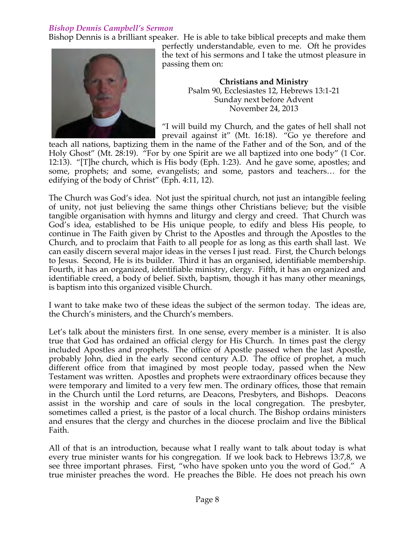# *Bishop Dennis Campbell's Sermon*

Bishop Dennis is a brilliant speaker. He is able to take biblical precepts and make them



perfectly understandable, even to me. Oft he provides the text of his sermons and I take the utmost pleasure in passing them on:

> **Christians and Ministry** Psalm 90, Ecclesiastes 12, Hebrews 13:1-21 Sunday next before Advent November 24, 2013

"I will build my Church, and the gates of hell shall not prevail against it" (Mt. 16:18). "Go ye therefore and

teach all nations, baptizing them in the name of the Father and of the Son, and of the Holy Ghost" (Mt. 28:19). "For by one Spirit are we all baptized into one body" (1 Cor. 12:13). "[T]he church, which is His body (Eph. 1:23). And he gave some, apostles; and some, prophets; and some, evangelists; and some, pastors and teachers… for the edifying of the body of Christ" (Eph. 4:11, 12).

The Church was God's idea. Not just the spiritual church, not just an intangible feeling of unity, not just believing the same things other Christians believe; but the visible tangible organisation with hymns and liturgy and clergy and creed. That Church was God's idea, established to be His unique people, to edify and bless His people, to continue in The Faith given by Christ to the Apostles and through the Apostles to the Church, and to proclaim that Faith to all people for as long as this earth shall last. We can easily discern several major ideas in the verses I just read. First, the Church belongs to Jesus. Second, He is its builder. Third it has an organised, identifiable membership. Fourth, it has an organized, identifiable ministry, clergy. Fifth, it has an organized and identifiable creed, a body of belief. Sixth, baptism, though it has many other meanings, is baptism into this organized visible Church.

I want to take make two of these ideas the subject of the sermon today. The ideas are, the Church's ministers, and the Church's members.

Let's talk about the ministers first. In one sense, every member is a minister. It is also true that God has ordained an official clergy for His Church. In times past the clergy included Apostles and prophets. The office of Apostle passed when the last Apostle, probably John, died in the early second century A.D. The office of prophet, a much different office from that imagined by most people today, passed when the New Testament was written. Apostles and prophets were extraordinary offices because they were temporary and limited to a very few men. The ordinary offices, those that remain in the Church until the Lord returns, are Deacons, Presbyters, and Bishops. Deacons assist in the worship and care of souls in the local congregation. The presbyter, sometimes called a priest, is the pastor of a local church. The Bishop ordains ministers and ensures that the clergy and churches in the diocese proclaim and live the Biblical Faith.

All of that is an introduction, because what I really want to talk about today is what every true minister wants for his congregation. If we look back to Hebrews 13:7,8, we see three important phrases. First, "who have spoken unto you the word of God." A true minister preaches the word. He preaches the Bible. He does not preach his own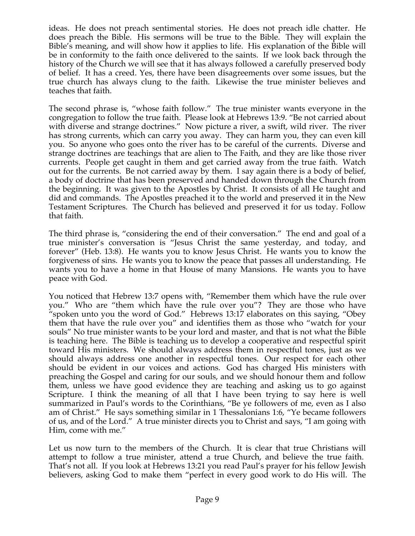ideas. He does not preach sentimental stories. He does not preach idle chatter. He does preach the Bible. His sermons will be true to the Bible. They will explain the Bible's meaning, and will show how it applies to life. His explanation of the Bible will be in conformity to the faith once delivered to the saints. If we look back through the history of the Church we will see that it has always followed a carefully preserved body of belief. It has a creed. Yes, there have been disagreements over some issues, but the true church has always clung to the faith. Likewise the true minister believes and teaches that faith.

The second phrase is, "whose faith follow." The true minister wants everyone in the congregation to follow the true faith. Please look at Hebrews 13:9. "Be not carried about with diverse and strange doctrines." Now picture a river, a swift, wild river. The river has strong currents, which can carry you away. They can harm you, they can even kill you. So anyone who goes onto the river has to be careful of the currents. Diverse and strange doctrines are teachings that are alien to The Faith, and they are like those river currents. People get caught in them and get carried away from the true faith. Watch out for the currents. Be not carried away by them. I say again there is a body of belief, a body of doctrine that has been preserved and handed down through the Church from the beginning. It was given to the Apostles by Christ. It consists of all He taught and did and commands. The Apostles preached it to the world and preserved it in the New Testament Scriptures. The Church has believed and preserved it for us today. Follow that faith.

The third phrase is, "considering the end of their conversation." The end and goal of a true minister's conversation is "Jesus Christ the same yesterday, and today, and forever" (Heb. 13:8). He wants you to know Jesus Christ. He wants you to know the forgiveness of sins. He wants you to know the peace that passes all understanding. He wants you to have a home in that House of many Mansions. He wants you to have peace with God.

You noticed that Hebrew 13:7 opens with, "Remember them which have the rule over you." Who are "them which have the rule over you"? They are those who have "spoken unto you the word of God." Hebrews 13:17 elaborates on this saying, "Obey them that have the rule over you" and identifies them as those who "watch for your souls" No true minister wants to be your lord and master, and that is not what the Bible is teaching here. The Bible is teaching us to develop a cooperative and respectful spirit toward His ministers. We should always address them in respectful tones, just as we should always address one another in respectful tones. Our respect for each other should be evident in our voices and actions. God has charged His ministers with preaching the Gospel and caring for our souls, and we should honour them and follow them, unless we have good evidence they are teaching and asking us to go against Scripture. I think the meaning of all that I have been trying to say here is well summarized in Paul's words to the Corinthians, "Be ye followers of me, even as I also am of Christ." He says something similar in 1 Thessalonians 1:6, "Ye became followers of us, and of the Lord." A true minister directs you to Christ and says, "I am going with Him, come with me."

Let us now turn to the members of the Church. It is clear that true Christians will attempt to follow a true minister, attend a true Church, and believe the true faith. That's not all. If you look at Hebrews 13:21 you read Paul's prayer for his fellow Jewish believers, asking God to make them "perfect in every good work to do His will. The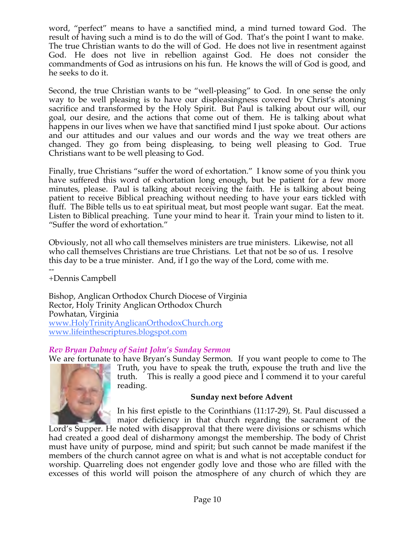word, "perfect" means to have a sanctified mind, a mind turned toward God. The result of having such a mind is to do the will of God. That's the point I want to make. The true Christian wants to do the will of God. He does not live in resentment against God. He does not live in rebellion against God. He does not consider the commandments of God as intrusions on his fun. He knows the will of God is good, and he seeks to do it.

Second, the true Christian wants to be "well-pleasing" to God. In one sense the only way to be well pleasing is to have our displeasingness covered by Christ's atoning sacrifice and transformed by the Holy Spirit. But Paul is talking about our will, our goal, our desire, and the actions that come out of them. He is talking about what happens in our lives when we have that sanctified mind I just spoke about. Our actions and our attitudes and our values and our words and the way we treat others are changed. They go from being displeasing, to being well pleasing to God. True Christians want to be well pleasing to God.

Finally, true Christians "suffer the word of exhortation." I know some of you think you have suffered this word of exhortation long enough, but be patient for a few more minutes, please. Paul is talking about receiving the faith. He is talking about being patient to receive Biblical preaching without needing to have your ears tickled with fluff. The Bible tells us to eat spiritual meat, but most people want sugar. Eat the meat. Listen to Biblical preaching. Tune your mind to hear it. Train your mind to listen to it. "Suffer the word of exhortation."

Obviously, not all who call themselves ministers are true ministers. Likewise, not all who call themselves Christians are true Christians. Let that not be so of us. I resolve this day to be a true minister. And, if I go the way of the Lord, come with me.

-- +Dennis Campbell

Bishop, Anglican Orthodox Church Diocese of Virginia Rector, Holy Trinity Anglican Orthodox Church Powhatan, Virginia www.HolyTrinityAnglicanOrthodoxChurch.org www.lifeinthescriptures.blogspot.com

# *Rev Bryan Dabney of Saint John's Sunday Sermon*

We are fortunate to have Bryan's Sunday Sermon. If you want people to come to The Truth, you have to speak the truth, expouse the truth and live the truth. This is really a good piece and I commend it to your careful reading.

# **Sunday next before Advent**

In his first epistle to the Corinthians (11:17-29), St. Paul discussed a major deficiency in that church regarding the sacrament of the

Lord's Supper. He noted with disapproval that there were divisions or schisms which had created a good deal of disharmony amongst the membership. The body of Christ must have unity of purpose, mind and spirit; but such cannot be made manifest if the members of the church cannot agree on what is and what is not acceptable conduct for worship. Quarreling does not engender godly love and those who are filled with the excesses of this world will poison the atmosphere of any church of which they are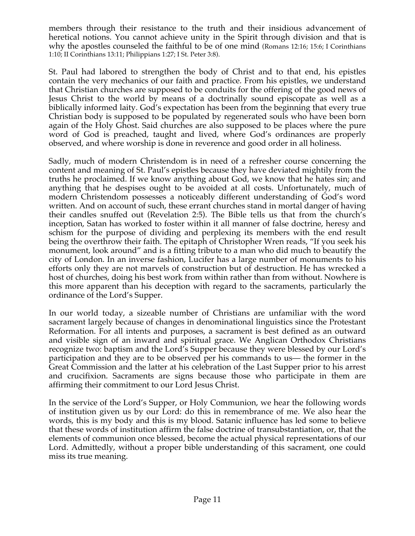members through their resistance to the truth and their insidious advancement of heretical notions. You cannot achieve unity in the Spirit through division and that is why the apostles counseled the faithful to be of one mind (Romans 12:16; 15:6; I Corinthians 1:10; II Corinthians 13:11; Philippians 1:27; I St. Peter 3:8).

St. Paul had labored to strengthen the body of Christ and to that end, his epistles contain the very mechanics of our faith and practice. From his epistles, we understand that Christian churches are supposed to be conduits for the offering of the good news of Jesus Christ to the world by means of a doctrinally sound episcopate as well as a biblically informed laity. God's expectation has been from the beginning that every true Christian body is supposed to be populated by regenerated souls who have been born again of the Holy Ghost. Said churches are also supposed to be places where the pure word of God is preached, taught and lived, where God's ordinances are properly observed, and where worship is done in reverence and good order in all holiness.

Sadly, much of modern Christendom is in need of a refresher course concerning the content and meaning of St. Paul's epistles because they have deviated mightily from the truths he proclaimed. If we know anything about God, we know that he hates sin; and anything that he despises ought to be avoided at all costs. Unfortunately, much of modern Christendom possesses a noticeably different understanding of God's word written. And on account of such, these errant churches stand in mortal danger of having their candles snuffed out (Revelation 2:5). The Bible tells us that from the church's inception, Satan has worked to foster within it all manner of false doctrine, heresy and schism for the purpose of dividing and perplexing its members with the end result being the overthrow their faith. The epitaph of Christopher Wren reads, "If you seek his monument, look around" and is a fitting tribute to a man who did much to beautify the city of London. In an inverse fashion, Lucifer has a large number of monuments to his efforts only they are not marvels of construction but of destruction. He has wrecked a host of churches, doing his best work from within rather than from without. Nowhere is this more apparent than his deception with regard to the sacraments, particularly the ordinance of the Lord's Supper.

In our world today, a sizeable number of Christians are unfamiliar with the word sacrament largely because of changes in denominational linguistics since the Protestant Reformation. For all intents and purposes, a sacrament is best defined as an outward and visible sign of an inward and spiritual grace. We Anglican Orthodox Christians recognize two: baptism and the Lord's Supper because they were blessed by our Lord's participation and they are to be observed per his commands to us— the former in the Great Commission and the latter at his celebration of the Last Supper prior to his arrest and crucifixion. Sacraments are signs because those who participate in them are affirming their commitment to our Lord Jesus Christ.

In the service of the Lord's Supper, or Holy Communion, we hear the following words of institution given us by our Lord: do this in remembrance of me. We also hear the words, this is my body and this is my blood. Satanic influence has led some to believe that these words of institution affirm the false doctrine of transubstantiation, or, that the elements of communion once blessed, become the actual physical representations of our Lord. Admittedly, without a proper bible understanding of this sacrament, one could miss its true meaning.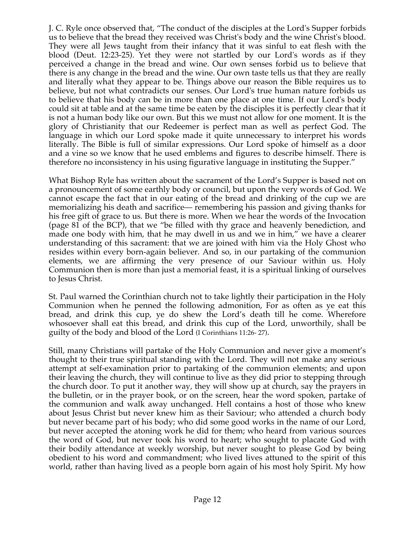J. C. Ryle once observed that, "The conduct of the disciples at the Lord's Supper forbids us to believe that the bread they received was Christ's body and the wine Christ's blood. They were all Jews taught from their infancy that it was sinful to eat flesh with the blood (Deut. 12:23-25). Yet they were not startled by our Lord's words as if they perceived a change in the bread and wine. Our own senses forbid us to believe that there is any change in the bread and the wine. Our own taste tells us that they are really and literally what they appear to be. Things above our reason the Bible requires us to believe, but not what contradicts our senses. Our Lord's true human nature forbids us to believe that his body can be in more than one place at one time. If our Lord's body could sit at table and at the same time be eaten by the disciples it is perfectly clear that it is not a human body like our own. But this we must not allow for one moment. It is the glory of Christianity that our Redeemer is perfect man as well as perfect God. The language in which our Lord spoke made it quite unnecessary to interpret his words literally. The Bible is full of similar expressions. Our Lord spoke of himself as a door and a vine so we know that he used emblems and figures to describe himself. There is therefore no inconsistency in his using figurative language in instituting the Supper."

What Bishop Ryle has written about the sacrament of the Lord's Supper is based not on a pronouncement of some earthly body or council, but upon the very words of God. We cannot escape the fact that in our eating of the bread and drinking of the cup we are memorializing his death and sacrifice— remembering his passion and giving thanks for his free gift of grace to us. But there is more. When we hear the words of the Invocation (page 81 of the BCP), that we "be filled with thy grace and heavenly benediction, and made one body with him, that he may dwell in us and we in him," we have a clearer understanding of this sacrament: that we are joined with him via the Holy Ghost who resides within every born-again believer. And so, in our partaking of the communion elements, we are affirming the very presence of our Saviour within us. Holy Communion then is more than just a memorial feast, it is a spiritual linking of ourselves to Jesus Christ.

St. Paul warned the Corinthian church not to take lightly their participation in the Holy Communion when he penned the following admonition, For as often as ye eat this bread, and drink this cup, ye do shew the Lord's death till he come. Wherefore whosoever shall eat this bread, and drink this cup of the Lord, unworthily, shall be guilty of the body and blood of the Lord (I Corinthians 11:26- 27).

Still, many Christians will partake of the Holy Communion and never give a moment's thought to their true spiritual standing with the Lord. They will not make any serious attempt at self-examination prior to partaking of the communion elements; and upon their leaving the church, they will continue to live as they did prior to stepping through the church door. To put it another way, they will show up at church, say the prayers in the bulletin, or in the prayer book, or on the screen, hear the word spoken, partake of the communion and walk away unchanged. Hell contains a host of those who knew about Jesus Christ but never knew him as their Saviour; who attended a church body but never became part of his body; who did some good works in the name of our Lord, but never accepted the atoning work he did for them; who heard from various sources the word of God, but never took his word to heart; who sought to placate God with their bodily attendance at weekly worship, but never sought to please God by being obedient to his word and commandment; who lived lives attuned to the spirit of this world, rather than having lived as a people born again of his most holy Spirit. My how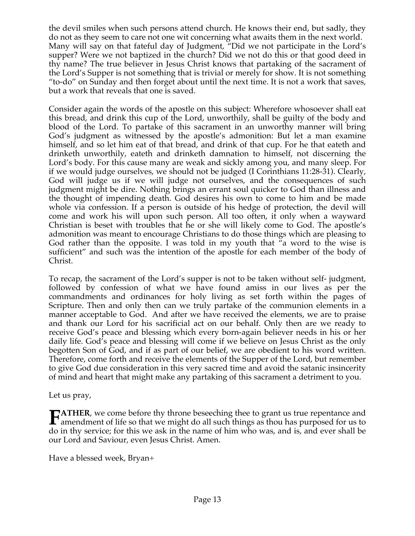the devil smiles when such persons attend church. He knows their end, but sadly, they do not as they seem to care not one wit concerning what awaits them in the next world. Many will say on that fateful day of Judgment, "Did we not participate in the Lord's supper? Were we not baptized in the church? Did we not do this or that good deed in thy name? The true believer in Jesus Christ knows that partaking of the sacrament of the Lord's Supper is not something that is trivial or merely for show. It is not something "to-do" on Sunday and then forget about until the next time. It is not a work that saves, but a work that reveals that one is saved.

Consider again the words of the apostle on this subject: Wherefore whosoever shall eat this bread, and drink this cup of the Lord, unworthily, shall be guilty of the body and blood of the Lord. To partake of this sacrament in an unworthy manner will bring God's judgment as witnessed by the apostle's admonition: But let a man examine himself, and so let him eat of that bread, and drink of that cup. For he that eateth and drinketh unworthily, eateth and drinketh damnation to himself, not discerning the Lord's body. For this cause many are weak and sickly among you, and many sleep. For if we would judge ourselves, we should not be judged (I Corinthians 11:28-31). Clearly, God will judge us if we will judge not ourselves, and the consequences of such judgment might be dire. Nothing brings an errant soul quicker to God than illness and the thought of impending death. God desires his own to come to him and be made whole via confession. If a person is outside of his hedge of protection, the devil will come and work his will upon such person. All too often, it only when a wayward Christian is beset with troubles that he or she will likely come to God. The apostle's admonition was meant to encourage Christians to do those things which are pleasing to God rather than the opposite. I was told in my youth that "a word to the wise is sufficient" and such was the intention of the apostle for each member of the body of Christ.

To recap, the sacrament of the Lord's supper is not to be taken without self- judgment, followed by confession of what we have found amiss in our lives as per the commandments and ordinances for holy living as set forth within the pages of Scripture. Then and only then can we truly partake of the communion elements in a manner acceptable to God. And after we have received the elements, we are to praise and thank our Lord for his sacrificial act on our behalf. Only then are we ready to receive God's peace and blessing which every born-again believer needs in his or her daily life. God's peace and blessing will come if we believe on Jesus Christ as the only begotten Son of God, and if as part of our belief, we are obedient to his word written. Therefore, come forth and receive the elements of the Supper of the Lord, but remember to give God due consideration in this very sacred time and avoid the satanic insincerity of mind and heart that might make any partaking of this sacrament a detriment to you.

Let us pray,

**ATHER**, we come before thy throne beseeching thee to grant us true repentance and **FATHER**, we come before thy throne beseeching thee to grant us true repentance and amendment of life so that we might do all such things as thou has purposed for us to the literature of the literature of the literature of do in thy service; for this we ask in the name of him who was, and is, and ever shall be our Lord and Saviour, even Jesus Christ. Amen.

Have a blessed week, Bryan+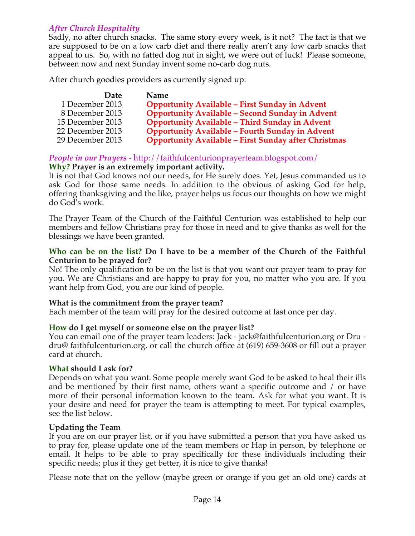# *After Church Hospitality*

Sadly, no after church snacks. The same story every week, is it not? The fact is that we are supposed to be on a low carb diet and there really aren't any low carb snacks that appeal to us. So, with no fatted dog nut in sight, we were out of luck! Please someone, between now and next Sunday invent some no-carb dog nuts.

After church goodies providers as currently signed up:

| Date             | Name                                                        |
|------------------|-------------------------------------------------------------|
| 1 December 2013  | <b>Opportunity Available - First Sunday in Advent</b>       |
| 8 December 2013  | <b>Opportunity Available - Second Sunday in Advent</b>      |
| 15 December 2013 | <b>Opportunity Available - Third Sunday in Advent</b>       |
| 22 December 2013 | <b>Opportunity Available - Fourth Sunday in Advent</b>      |
| 29 December 2013 | <b>Opportunity Available - First Sunday after Christmas</b> |

#### *People in our Prayers* - http://faithfulcenturionprayerteam.blogspot.com/ **Why? Prayer is an extremely important activity.**

It is not that God knows not our needs, for He surely does. Yet, Jesus commanded us to ask God for those same needs. In addition to the obvious of asking God for help, offering thanksgiving and the like, prayer helps us focus our thoughts on how we might do God's work.

The Prayer Team of the Church of the Faithful Centurion was established to help our members and fellow Christians pray for those in need and to give thanks as well for the blessings we have been granted.

#### **Who can be on the list? Do I have to be a member of the Church of the Faithful Centurion to be prayed for?**

No! The only qualification to be on the list is that you want our prayer team to pray for you. We are Christians and are happy to pray for you, no matter who you are. If you want help from God, you are our kind of people.

#### **What is the commitment from the prayer team?**

Each member of the team will pray for the desired outcome at last once per day.

#### **How do I get myself or someone else on the prayer list?**

You can email one of the prayer team leaders: Jack - jack@faithfulcenturion.org or Dru dru@ faithfulcenturion.org, or call the church office at (619) 659-3608 or fill out a prayer card at church.

#### **What should I ask for?**

Depends on what you want. Some people merely want God to be asked to heal their ills and be mentioned by their first name, others want a specific outcome and / or have more of their personal information known to the team. Ask for what you want. It is your desire and need for prayer the team is attempting to meet. For typical examples, see the list below.

#### **Updating the Team**

If you are on our prayer list, or if you have submitted a person that you have asked us to pray for, please update one of the team members or Hap in person, by telephone or email. It helps to be able to pray specifically for these individuals including their specific needs; plus if they get better, it is nice to give thanks!

Please note that on the yellow (maybe green or orange if you get an old one) cards at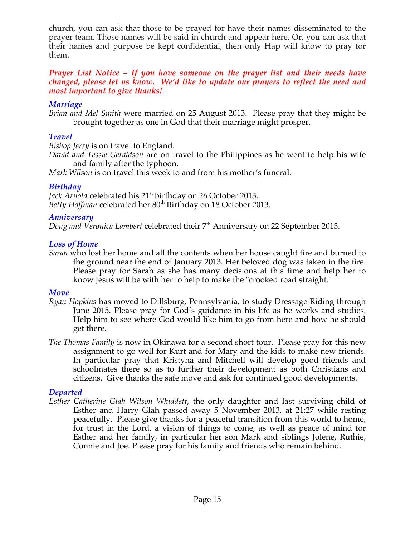church, you can ask that those to be prayed for have their names disseminated to the prayer team. Those names will be said in church and appear here. Or, you can ask that their names and purpose be kept confidential, then only Hap will know to pray for them.

#### *Prayer List Notice – If you have someone on the prayer list and their needs have changed, please let us know. We'd like to update our prayers to reflect the need and most important to give thanks!*

#### *Marriage*

*Brian and Mel Smith* were married on 25 August 2013. Please pray that they might be brought together as one in God that their marriage might prosper.

# *Travel*

*Bishop Jerry* is on travel to England.

*David and Tessie Geraldson* are on travel to the Philippines as he went to help his wife and family after the typhoon.

*Mark Wilson* is on travel this week to and from his mother's funeral.

# *Birthday*

*Jack Arnold* celebrated his 21<sup>st</sup> birthday on 26 October 2013. Betty Hoffman celebrated her 80<sup>th</sup> Birthday on 18 October 2013.

### *Anniversary*

*Doug and Veronica Lambert celebrated their* 7<sup>th</sup> Anniversary on 22 September 2013.

### *Loss of Home*

*Sarah* who lost her home and all the contents when her house caught fire and burned to the ground near the end of January 2013. Her beloved dog was taken in the fire. Please pray for Sarah as she has many decisions at this time and help her to know Jesus will be with her to help to make the "crooked road straight."

#### *Move*

- *Ryan Hopkins* has moved to Dillsburg, Pennsylvania, to study Dressage Riding through June 2015. Please pray for God's guidance in his life as he works and studies. Help him to see where God would like him to go from here and how he should get there.
- *The Thomas Family* is now in Okinawa for a second short tour. Please pray for this new assignment to go well for Kurt and for Mary and the kids to make new friends. In particular pray that Kristyna and Mitchell will develop good friends and schoolmates there so as to further their development as both Christians and citizens. Give thanks the safe move and ask for continued good developments.

#### *Departed*

*Esther Catherine Glah Wilson Whiddett*, the only daughter and last surviving child of Esther and Harry Glah passed away 5 November 2013, at 21:27 while resting peacefully. Please give thanks for a peaceful transition from this world to home, for trust in the Lord, a vision of things to come, as well as peace of mind for Esther and her family, in particular her son Mark and siblings Jolene, Ruthie, Connie and Joe. Please pray for his family and friends who remain behind.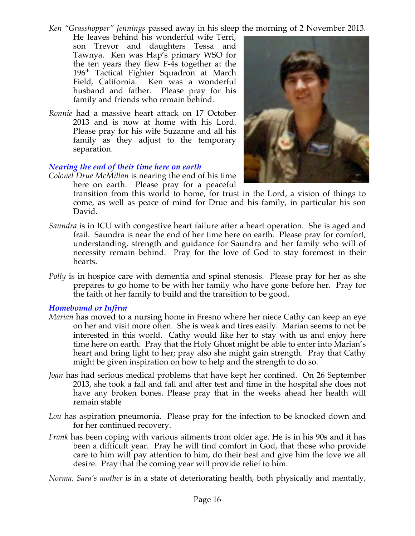*Ken "Grasshopper" Jennings* passed away in his sleep the morning of 2 November 2013.

- He leaves behind his wonderful wife Terri, son Trevor and daughters Tessa and Tawnya. Ken was Hap's primary WSO for the ten years they flew F-4s together at the 196<sup>th</sup> Tactical Fighter Squadron at March Field, California. Ken was a wonderful husband and father. Please pray for his family and friends who remain behind.
- *Ronnie* had a massive heart attack on 17 October 2013 and is now at home with his Lord. Please pray for his wife Suzanne and all his family as they adjust to the temporary separation.

### *Nearing the end of their time here on earth*

*Colonel Drue McMillan* is nearing the end of his time here on earth. Please pray for a peaceful

transition from this world to home, for trust in the Lord, a vision of things to come, as well as peace of mind for Drue and his family, in particular his son David.

- *Saundra* is in ICU with congestive heart failure after a heart operation. She is aged and frail. Saundra is near the end of her time here on earth. Please pray for comfort, understanding, strength and guidance for Saundra and her family who will of necessity remain behind. Pray for the love of God to stay foremost in their hearts.
- *Polly* is in hospice care with dementia and spinal stenosis. Please pray for her as she prepares to go home to be with her family who have gone before her. Pray for the faith of her family to build and the transition to be good.

#### *Homebound or Infirm*

- *Marian* has moved to a nursing home in Fresno where her niece Cathy can keep an eye on her and visit more often. She is weak and tires easily. Marian seems to not be interested in this world. Cathy would like her to stay with us and enjoy here time here on earth. Pray that the Holy Ghost might be able to enter into Marian's heart and bring light to her; pray also she might gain strength. Pray that Cathy might be given inspiration on how to help and the strength to do so.
- *Joan* has had serious medical problems that have kept her confined. On 26 September 2013, she took a fall and fall and after test and time in the hospital she does not have any broken bones. Please pray that in the weeks ahead her health will remain stable
- *Lou* has aspiration pneumonia. Please pray for the infection to be knocked down and for her continued recovery.
- *Frank* has been coping with various ailments from older age. He is in his 90s and it has been a difficult year. Pray he will find comfort in God, that those who provide care to him will pay attention to him, do their best and give him the love we all desire. Pray that the coming year will provide relief to him.

*Norma, Sara's mother* is in a state of deteriorating health, both physically and mentally,

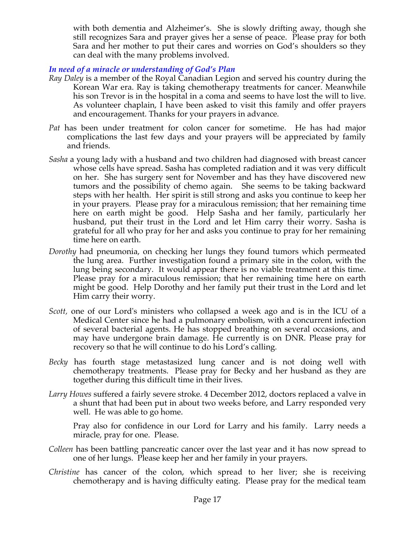with both dementia and Alzheimer's. She is slowly drifting away, though she still recognizes Sara and prayer gives her a sense of peace. Please pray for both Sara and her mother to put their cares and worries on God's shoulders so they can deal with the many problems involved.

*In need of a miracle or understanding of God's Plan*

- *Ray Daley* is a member of the Royal Canadian Legion and served his country during the Korean War era. Ray is taking chemotherapy treatments for cancer. Meanwhile his son Trevor is in the hospital in a coma and seems to have lost the will to live. As volunteer chaplain, I have been asked to visit this family and offer prayers and encouragement. Thanks for your prayers in advance*.*
- *Pat* has been under treatment for colon cancer for sometime. He has had major complications the last few days and your prayers will be appreciated by family and friends.
- *Sasha* a young lady with a husband and two children had diagnosed with breast cancer whose cells have spread. Sasha has completed radiation and it was very difficult on her. She has surgery sent for November and has they have discovered new tumors and the possibility of chemo again. She seems to be taking backward steps with her health. Her spirit is still strong and asks you continue to keep her in your prayers. Please pray for a miraculous remission; that her remaining time here on earth might be good. Help Sasha and her family, particularly her husband, put their trust in the Lord and let Him carry their worry. Sasha is grateful for all who pray for her and asks you continue to pray for her remaining time here on earth.
- *Dorothy* had pneumonia, on checking her lungs they found tumors which permeated the lung area. Further investigation found a primary site in the colon, with the lung being secondary. It would appear there is no viable treatment at this time. Please pray for a miraculous remission; that her remaining time here on earth might be good. Help Dorothy and her family put their trust in the Lord and let Him carry their worry.
- *Scott,* one of our Lord's ministers who collapsed a week ago and is in the ICU of a Medical Center since he had a pulmonary embolism, with a concurrent infection of several bacterial agents. He has stopped breathing on several occasions, and may have undergone brain damage. He currently is on DNR. Please pray for recovery so that he will continue to do his Lord's calling*.*
- *Becky* has fourth stage metastasized lung cancer and is not doing well with chemotherapy treatments. Please pray for Becky and her husband as they are together during this difficult time in their lives.
- *Larry Howes* suffered a fairly severe stroke. 4 December 2012, doctors replaced a valve in a shunt that had been put in about two weeks before, and Larry responded very well. He was able to go home.

Pray also for confidence in our Lord for Larry and his family. Larry needs a miracle, pray for one. Please.

- *Colleen* has been battling pancreatic cancer over the last year and it has now spread to one of her lungs. Please keep her and her family in your prayers.
- *Christine* has cancer of the colon, which spread to her liver; she is receiving chemotherapy and is having difficulty eating. Please pray for the medical team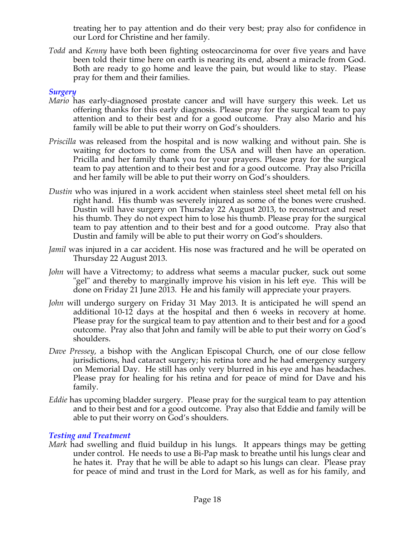treating her to pay attention and do their very best; pray also for confidence in our Lord for Christine and her family.

*Todd* and *Kenny* have both been fighting osteocarcinoma for over five years and have been told their time here on earth is nearing its end, absent a miracle from God. Both are ready to go home and leave the pain, but would like to stay. Please pray for them and their families.

### *Surgery*

- *Mario* has early-diagnosed prostate cancer and will have surgery this week. Let us offering thanks for this early diagnosis. Please pray for the surgical team to pay attention and to their best and for a good outcome. Pray also Mario and his family will be able to put their worry on God's shoulders.
- *Priscilla* was released from the hospital and is now walking and without pain. She is waiting for doctors to come from the USA and will then have an operation. Pricilla and her family thank you for your prayers. Please pray for the surgical team to pay attention and to their best and for a good outcome. Pray also Pricilla and her family will be able to put their worry on God's shoulders.
- *Dustin* who was injured in a work accident when stainless steel sheet metal fell on his right hand. His thumb was severely injured as some of the bones were crushed. Dustin will have surgery on Thursday 22 August 2013, to reconstruct and reset his thumb. They do not expect him to lose his thumb. Please pray for the surgical team to pay attention and to their best and for a good outcome. Pray also that Dustin and family will be able to put their worry on God's shoulders.
- *Jamil* was injured in a car accident. His nose was fractured and he will be operated on Thursday 22 August 2013.
- *John* will have a Vitrectomy; to address what seems a macular pucker, suck out some "gel" and thereby to marginally improve his vision in his left eye. This will be done on Friday 21 June 2013. He and his family will appreciate your prayers.
- *John* will undergo surgery on Friday 31 May 2013. It is anticipated he will spend an additional 10-12 days at the hospital and then 6 weeks in recovery at home. Please pray for the surgical team to pay attention and to their best and for a good outcome. Pray also that John and family will be able to put their worry on God's shoulders.
- *Dave Pressey*, a bishop with the Anglican Episcopal Church, one of our close fellow jurisdictions, had cataract surgery; his retina tore and he had emergency surgery on Memorial Day. He still has only very blurred in his eye and has headaches. Please pray for healing for his retina and for peace of mind for Dave and his family.
- *Eddie* has upcoming bladder surgery. Please pray for the surgical team to pay attention and to their best and for a good outcome. Pray also that Eddie and family will be able to put their worry on God's shoulders.

#### *Testing and Treatment*

*Mark* had swelling and fluid buildup in his lungs. It appears things may be getting under control. He needs to use a Bi-Pap mask to breathe until his lungs clear and he hates it. Pray that he will be able to adapt so his lungs can clear. Please pray for peace of mind and trust in the Lord for Mark, as well as for his family, and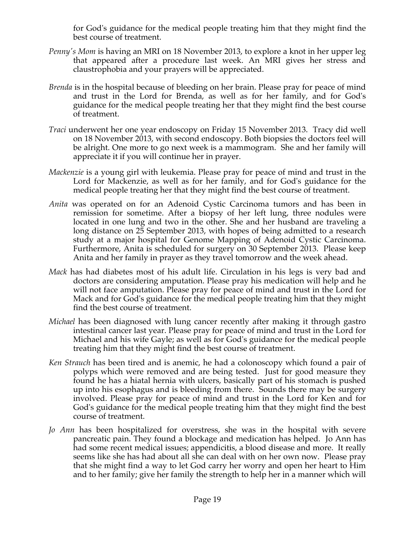for God's guidance for the medical people treating him that they might find the best course of treatment.

- *Penny's Mom is having an MRI on 18 November 2013, to explore a knot in her upper leg* that appeared after a procedure last week. An MRI gives her stress and claustrophobia and your prayers will be appreciated.
- *Brenda* is in the hospital because of bleeding on her brain. Please pray for peace of mind and trust in the Lord for Brenda, as well as for her family, and for God's guidance for the medical people treating her that they might find the best course of treatment.
- *Traci* underwent her one year endoscopy on Friday 15 November 2013. Tracy did well on 18 November 2013, with second endoscopy. Both biopsies the doctors feel will be alright. One more to go next week is a mammogram. She and her family will appreciate it if you will continue her in prayer.
- *Mackenzie* is a young girl with leukemia. Please pray for peace of mind and trust in the Lord for Mackenzie, as well as for her family, and for God's guidance for the medical people treating her that they might find the best course of treatment.
- *Anita* was operated on for an Adenoid Cystic Carcinoma tumors and has been in remission for sometime. After a biopsy of her left lung, three nodules were located in one lung and two in the other. She and her husband are traveling a long distance on 25 September 2013, with hopes of being admitted to a research study at a major hospital for Genome Mapping of Adenoid Cystic Carcinoma. Furthermore, Anita is scheduled for surgery on 30 September 2013. Please keep Anita and her family in prayer as they travel tomorrow and the week ahead.
- *Mack* has had diabetes most of his adult life. Circulation in his legs is very bad and doctors are considering amputation. Please pray his medication will help and he will not face amputation. Please pray for peace of mind and trust in the Lord for Mack and for God's guidance for the medical people treating him that they might find the best course of treatment.
- *Michael* has been diagnosed with lung cancer recently after making it through gastro intestinal cancer last year. Please pray for peace of mind and trust in the Lord for Michael and his wife Gayle; as well as for God's guidance for the medical people treating him that they might find the best course of treatment.
- *Ken Strauch* has been tired and is anemic, he had a colonoscopy which found a pair of polyps which were removed and are being tested. Just for good measure they found he has a hiatal hernia with ulcers, basically part of his stomach is pushed up into his esophagus and is bleeding from there. Sounds there may be surgery involved. Please pray for peace of mind and trust in the Lord for Ken and for God's guidance for the medical people treating him that they might find the best course of treatment.
- *Jo Ann* has been hospitalized for overstress, she was in the hospital with severe pancreatic pain. They found a blockage and medication has helped. Jo Ann has had some recent medical issues; appendicitis, a blood disease and more. It really seems like she has had about all she can deal with on her own now. Please pray that she might find a way to let God carry her worry and open her heart to Him and to her family; give her family the strength to help her in a manner which will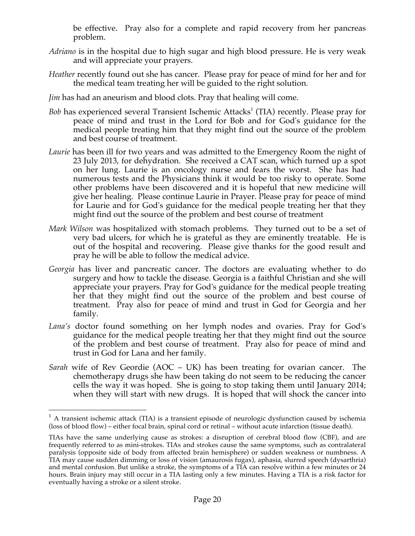be effective. Pray also for a complete and rapid recovery from her pancreas problem.

- *Adriano* is in the hospital due to high sugar and high blood pressure. He is very weak and will appreciate your prayers.
- *Heather* recently found out she has cancer. Please pray for peace of mind for her and for the medical team treating her will be guided to the right solution.
- *Jim* has had an aneurism and blood clots. Pray that healing will come.
- *Bob* has experienced several Transient Ischemic Attacks<sup>1</sup> (TIA) recently. Please pray for peace of mind and trust in the Lord for Bob and for God's guidance for the medical people treating him that they might find out the source of the problem and best course of treatment.
- *Laurie* has been ill for two years and was admitted to the Emergency Room the night of 23 July 2013, for dehydration. She received a CAT scan, which turned up a spot on her lung. Laurie is an oncology nurse and fears the worst. She has had numerous tests and the Physicians think it would be too risky to operate. Some other problems have been discovered and it is hopeful that new medicine will give her healing. Please continue Laurie in Prayer. Please pray for peace of mind for Laurie and for God's guidance for the medical people treating her that they might find out the source of the problem and best course of treatment
- *Mark Wilson* was hospitalized with stomach problems. They turned out to be a set of very bad ulcers, for which he is grateful as they are eminently treatable. He is out of the hospital and recovering. Please give thanks for the good result and pray he will be able to follow the medical advice.
- *Georgia* has liver and pancreatic cancer. The doctors are evaluating whether to do surgery and how to tackle the disease. Georgia is a faithful Christian and she will appreciate your prayers. Pray for God's guidance for the medical people treating her that they might find out the source of the problem and best course of treatment. Pray also for peace of mind and trust in God for Georgia and her family.
- *Lana's* doctor found something on her lymph nodes and ovaries. Pray for God's guidance for the medical people treating her that they might find out the source of the problem and best course of treatment. Pray also for peace of mind and trust in God for Lana and her family.
- *Sarah* wife of Rev Geordie (AOC UK) has been treating for ovarian cancer. The chemotherapy drugs she haw been taking do not seem to be reducing the cancer cells the way it was hoped. She is going to stop taking them until January 2014; when they will start with new drugs. It is hoped that will shock the cancer into

 $1$  A transient ischemic attack (TIA) is a transient episode of neurologic dysfunction caused by ischemia (loss of blood flow) – either focal brain, spinal cord or retinal – without acute infarction (tissue death).

TIAs have the same underlying cause as strokes: a disruption of cerebral blood flow (CBF), and are frequently referred to as mini-strokes. TIAs and strokes cause the same symptoms, such as contralateral paralysis (opposite side of body from affected brain hemisphere) or sudden weakness or numbness. A TIA may cause sudden dimming or loss of vision (amaurosis fugax), aphasia, slurred speech (dysarthria) and mental confusion. But unlike a stroke, the symptoms of a TIA can resolve within a few minutes or 24 hours. Brain injury may still occur in a TIA lasting only a few minutes. Having a TIA is a risk factor for eventually having a stroke or a silent stroke.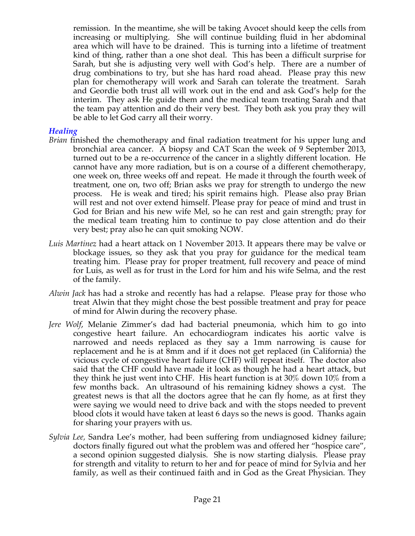remission. In the meantime, she will be taking Avocet should keep the cells from increasing or multiplying. She will continue building fluid in her abdominal area which will have to be drained. This is turning into a lifetime of treatment kind of thing, rather than a one shot deal. This has been a difficult surprise for Sarah, but she is adjusting very well with God's help. There are a number of drug combinations to try, but she has hard road ahead. Please pray this new plan for chemotherapy will work and Sarah can tolerate the treatment. Sarah and Geordie both trust all will work out in the end and ask God's help for the interim. They ask He guide them and the medical team treating Sarah and that the team pay attention and do their very best. They both ask you pray they will be able to let God carry all their worry.

#### *Healing*

- *Brian* finished the chemotherapy and final radiation treatment for his upper lung and bronchial area cancer. A biopsy and CAT Scan the week of 9 September 2013, turned out to be a re-occurrence of the cancer in a slightly different location. He cannot have any more radiation, but is on a course of a different chemotherapy, one week on, three weeks off and repeat. He made it through the fourth week of treatment, one on, two off; Brian asks we pray for strength to undergo the new process. He is weak and tired; his spirit remains high. Please also pray Brian will rest and not over extend himself. Please pray for peace of mind and trust in God for Brian and his new wife Mel, so he can rest and gain strength; pray for the medical team treating him to continue to pay close attention and do their very best; pray also he can quit smoking NOW.
- *Luis Martinez* had a heart attack on 1 November 2013. It appears there may be valve or blockage issues, so they ask that you pray for guidance for the medical team treating him. Please pray for proper treatment, full recovery and peace of mind for Luis, as well as for trust in the Lord for him and his wife Selma, and the rest of the family.
- *Alwin Jack* has had a stroke and recently has had a relapse. Please pray for those who treat Alwin that they might chose the best possible treatment and pray for peace of mind for Alwin during the recovery phase.
- *Jere Wolf*, Melanie Zimmer's dad had bacterial pneumonia, which him to go into congestive heart failure. An echocardiogram indicates his aortic valve is narrowed and needs replaced as they say a 1mm narrowing is cause for replacement and he is at 8mm and if it does not get replaced (in California) the vicious cycle of congestive heart failure (CHF) will repeat itself. The doctor also said that the CHF could have made it look as though he had a heart attack, but they think he just went into CHF. His heart function is at 30% down 10% from a few months back. An ultrasound of his remaining kidney shows a cyst. The greatest news is that all the doctors agree that he can fly home, as at first they were saying we would need to drive back and with the stops needed to prevent blood clots it would have taken at least 6 days so the news is good. Thanks again for sharing your prayers with us.
- *Sylvia Lee,* Sandra Lee's mother, had been suffering from undiagnosed kidney failure; doctors finally figured out what the problem was and offered her "hospice care", a second opinion suggested dialysis. She is now starting dialysis. Please pray for strength and vitality to return to her and for peace of mind for Sylvia and her family, as well as their continued faith and in God as the Great Physician. They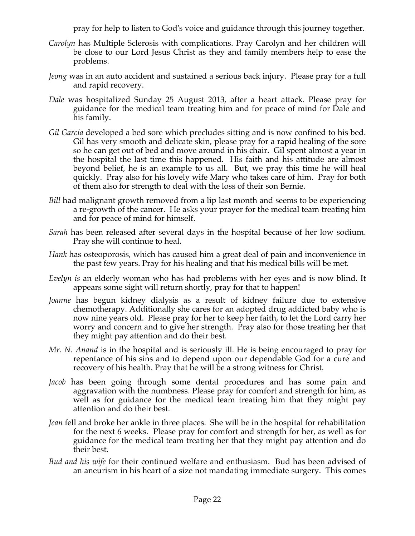pray for help to listen to God's voice and guidance through this journey together.

- *Carolyn* has Multiple Sclerosis with complications. Pray Carolyn and her children will be close to our Lord Jesus Christ as they and family members help to ease the problems.
- *Jeong* was in an auto accident and sustained a serious back injury. Please pray for a full and rapid recovery.
- *Dale* was hospitalized Sunday 25 August 2013, after a heart attack. Please pray for guidance for the medical team treating him and for peace of mind for Dale and his family.
- *Gil Garcia* developed a bed sore which precludes sitting and is now confined to his bed. Gil has very smooth and delicate skin, please pray for a rapid healing of the sore so he can get out of bed and move around in his chair. Gil spent almost a year in the hospital the last time this happened. His faith and his attitude are almost beyond belief, he is an example to us all. But, we pray this time he will heal quickly. Pray also for his lovely wife Mary who takes care of him. Pray for both of them also for strength to deal with the loss of their son Bernie.
- *Bill* had malignant growth removed from a lip last month and seems to be experiencing a re-growth of the cancer. He asks your prayer for the medical team treating him and for peace of mind for himself.
- *Sarah* has been released after several days in the hospital because of her low sodium. Pray she will continue to heal.
- *Hank* has osteoporosis, which has caused him a great deal of pain and inconvenience in the past few years. Pray for his healing and that his medical bills will be met.
- *Evelyn is* an elderly woman who has had problems with her eyes and is now blind. It appears some sight will return shortly, pray for that to happen!
- *Joanne* has begun kidney dialysis as a result of kidney failure due to extensive chemotherapy. Additionally she cares for an adopted drug addicted baby who is now nine years old. Please pray for her to keep her faith, to let the Lord carry her worry and concern and to give her strength. Pray also for those treating her that they might pay attention and do their best.
- *Mr. N. Anand* is in the hospital and is seriously ill. He is being encouraged to pray for repentance of his sins and to depend upon our dependable God for a cure and recovery of his health. Pray that he will be a strong witness for Christ.
- *Jacob* has been going through some dental procedures and has some pain and aggravation with the numbness. Please pray for comfort and strength for him, as well as for guidance for the medical team treating him that they might pay attention and do their best.
- *Jean* fell and broke her ankle in three places. She will be in the hospital for rehabilitation for the next 6 weeks. Please pray for comfort and strength for her, as well as for guidance for the medical team treating her that they might pay attention and do their best.
- *Bud and his wife* for their continued welfare and enthusiasm. Bud has been advised of an aneurism in his heart of a size not mandating immediate surgery. This comes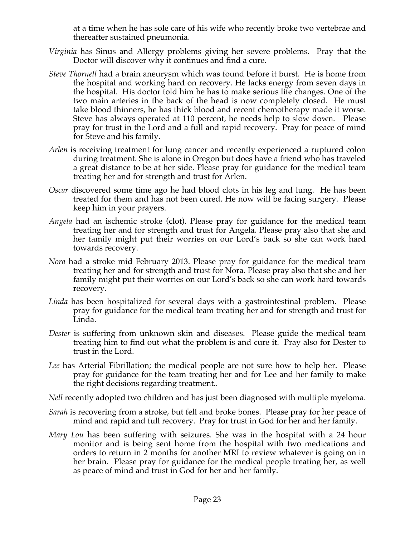at a time when he has sole care of his wife who recently broke two vertebrae and thereafter sustained pneumonia.

- *Virginia* has Sinus and Allergy problems giving her severe problems. Pray that the Doctor will discover why it continues and find a cure.
- *Steve Thornell* had a brain aneurysm which was found before it burst. He is home from the hospital and working hard on recovery. He lacks energy from seven days in the hospital. His doctor told him he has to make serious life changes. One of the two main arteries in the back of the head is now completely closed. He must take blood thinners, he has thick blood and recent chemotherapy made it worse. Steve has always operated at 110 percent, he needs help to slow down. Please pray for trust in the Lord and a full and rapid recovery. Pray for peace of mind for Steve and his family.
- *Arlen* is receiving treatment for lung cancer and recently experienced a ruptured colon during treatment. She is alone in Oregon but does have a friend who has traveled a great distance to be at her side. Please pray for guidance for the medical team treating her and for strength and trust for Arlen.
- *Oscar* discovered some time ago he had blood clots in his leg and lung. He has been treated for them and has not been cured. He now will be facing surgery. Please keep him in your prayers.
- *Angela* had an ischemic stroke (clot). Please pray for guidance for the medical team treating her and for strength and trust for Angela. Please pray also that she and her family might put their worries on our Lord's back so she can work hard towards recovery.
- *Nora* had a stroke mid February 2013. Please pray for guidance for the medical team treating her and for strength and trust for Nora. Please pray also that she and her family might put their worries on our Lord's back so she can work hard towards recovery.
- *Linda* has been hospitalized for several days with a gastrointestinal problem. Please pray for guidance for the medical team treating her and for strength and trust for Linda.
- *Dester* is suffering from unknown skin and diseases. Please guide the medical team treating him to find out what the problem is and cure it. Pray also for Dester to trust in the Lord.
- *Lee* has Arterial Fibrillation; the medical people are not sure how to help her. Please pray for guidance for the team treating her and for Lee and her family to make the right decisions regarding treatment..
- *Nell* recently adopted two children and has just been diagnosed with multiple myeloma.
- *Sarah* is recovering from a stroke, but fell and broke bones. Please pray for her peace of mind and rapid and full recovery. Pray for trust in God for her and her family.
- *Mary Lou* has been suffering with seizures. She was in the hospital with a 24 hour monitor and is being sent home from the hospital with two medications and orders to return in 2 months for another MRI to review whatever is going on in her brain. Please pray for guidance for the medical people treating her, as well as peace of mind and trust in God for her and her family.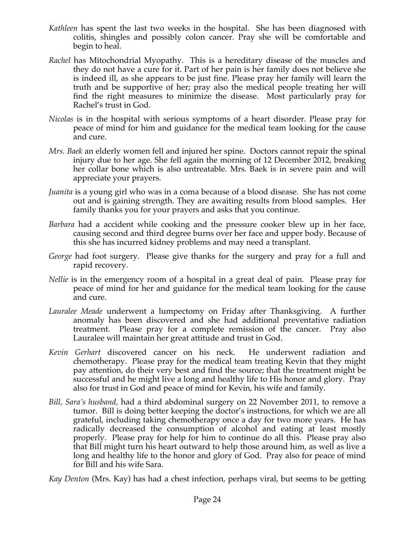- *Kathleen* has spent the last two weeks in the hospital. She has been diagnosed with colitis, shingles and possibly colon cancer. Pray she will be comfortable and begin to heal.
- *Rachel* has Mitochondrial Myopathy. This is a hereditary disease of the muscles and they do not have a cure for it. Part of her pain is her family does not believe she is indeed ill, as she appears to be just fine. Please pray her family will learn the truth and be supportive of her; pray also the medical people treating her will find the right measures to minimize the disease. Most particularly pray for Rachel's trust in God.
- *Nicolas* is in the hospital with serious symptoms of a heart disorder. Please pray for peace of mind for him and guidance for the medical team looking for the cause and cure.
- *Mrs. Baek* an elderly women fell and injured her spine. Doctors cannot repair the spinal injury due to her age. She fell again the morning of 12 December 2012, breaking her collar bone which is also untreatable. Mrs. Baek is in severe pain and will appreciate your prayers.
- *Juanita* is a young girl who was in a coma because of a blood disease. She has not come out and is gaining strength. They are awaiting results from blood samples. Her family thanks you for your prayers and asks that you continue.
- *Barbara* had a accident while cooking and the pressure cooker blew up in her face, causing second and third degree burns over her face and upper body. Because of this she has incurred kidney problems and may need a transplant.
- *George* had foot surgery. Please give thanks for the surgery and pray for a full and rapid recovery.
- *Nellie* is in the emergency room of a hospital in a great deal of pain. Please pray for peace of mind for her and guidance for the medical team looking for the cause and cure.
- *Lauralee Meade* underwent a lumpectomy on Friday after Thanksgiving. A further anomaly has been discovered and she had additional preventative radiation treatment. Please pray for a complete remission of the cancer. Pray also Lauralee will maintain her great attitude and trust in God.
- *Kevin Gerhart* discovered cancer on his neck. He underwent radiation and chemotherapy. Please pray for the medical team treating Kevin that they might pay attention, do their very best and find the source; that the treatment might be successful and he might live a long and healthy life to His honor and glory. Pray also for trust in God and peace of mind for Kevin, his wife and family.
- *Bill, Sara's husband,* had a third abdominal surgery on 22 November 2011, to remove a tumor. Bill is doing better keeping the doctor's instructions, for which we are all grateful, including taking chemotherapy once a day for two more years. He has radically decreased the consumption of alcohol and eating at least mostly properly. Please pray for help for him to continue do all this. Please pray also that Bill might turn his heart outward to help those around him, as well as live a long and healthy life to the honor and glory of God. Pray also for peace of mind for Bill and his wife Sara.

*Kay Denton* (Mrs. Kay) has had a chest infection, perhaps viral, but seems to be getting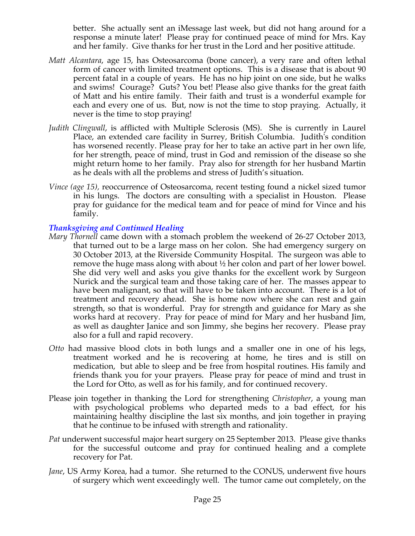better. She actually sent an iMessage last week, but did not hang around for a response a minute later! Please pray for continued peace of mind for Mrs. Kay and her family. Give thanks for her trust in the Lord and her positive attitude.

- *Matt Alcantara*, age 15, has Osteosarcoma (bone cancer), a very rare and often lethal form of cancer with limited treatment options. This is a disease that is about 90 percent fatal in a couple of years. He has no hip joint on one side, but he walks and swims! Courage? Guts? You bet! Please also give thanks for the great faith of Matt and his entire family. Their faith and trust is a wonderful example for each and every one of us. But, now is not the time to stop praying. Actually, it never is the time to stop praying!
- *Judith Clingwall*, is afflicted with Multiple Sclerosis (MS). She is currently in Laurel Place, an extended care facility in Surrey, British Columbia. Judith's condition has worsened recently. Please pray for her to take an active part in her own life, for her strength, peace of mind, trust in God and remission of the disease so she might return home to her family. Pray also for strength for her husband Martin as he deals with all the problems and stress of Judith's situation.
- *Vince (age 15),* reoccurrence of Osteosarcoma, recent testing found a nickel sized tumor in his lungs. The doctors are consulting with a specialist in Houston. Please pray for guidance for the medical team and for peace of mind for Vince and his family.

### *Thanksgiving and Continued Healing*

- *Mary Thornell* came down with a stomach problem the weekend of 26-27 October 2013, that turned out to be a large mass on her colon. She had emergency surgery on 30 October 2013, at the Riverside Community Hospital. The surgeon was able to remove the huge mass along with about ½ her colon and part of her lower bowel. She did very well and asks you give thanks for the excellent work by Surgeon Nurick and the surgical team and those taking care of her. The masses appear to have been malignant, so that will have to be taken into account. There is a lot of treatment and recovery ahead. She is home now where she can rest and gain strength, so that is wonderful. Pray for strength and guidance for Mary as she works hard at recovery. Pray for peace of mind for Mary and her husband Jim, as well as daughter Janice and son Jimmy, she begins her recovery. Please pray also for a full and rapid recovery.
- *Otto* had massive blood clots in both lungs and a smaller one in one of his legs, treatment worked and he is recovering at home, he tires and is still on medication, but able to sleep and be free from hospital routines. His family and friends thank you for your prayers. Please pray for peace of mind and trust in the Lord for Otto, as well as for his family, and for continued recovery.
- Please join together in thanking the Lord for strengthening *Christopher*, a young man with psychological problems who departed meds to a bad effect, for his maintaining healthy discipline the last six months, and join together in praying that he continue to be infused with strength and rationality.
- *Pat* underwent successful major heart surgery on 25 September 2013. Please give thanks for the successful outcome and pray for continued healing and a complete recovery for Pat.
- *Jane*, US Army Korea, had a tumor. She returned to the CONUS, underwent five hours of surgery which went exceedingly well. The tumor came out completely, on the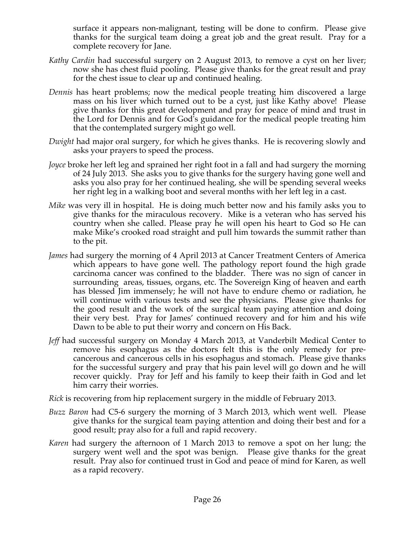surface it appears non-malignant, testing will be done to confirm. Please give thanks for the surgical team doing a great job and the great result. Pray for a complete recovery for Jane.

- *Kathy Cardin* had successful surgery on 2 August 2013, to remove a cyst on her liver; now she has chest fluid pooling. Please give thanks for the great result and pray for the chest issue to clear up and continued healing.
- *Dennis* has heart problems; now the medical people treating him discovered a large mass on his liver which turned out to be a cyst, just like Kathy above! Please give thanks for this great development and pray for peace of mind and trust in the Lord for Dennis and for God's guidance for the medical people treating him that the contemplated surgery might go well.
- *Dwight* had major oral surgery, for which he gives thanks. He is recovering slowly and asks your prayers to speed the process.
- *Joyce* broke her left leg and sprained her right foot in a fall and had surgery the morning of 24 July 2013. She asks you to give thanks for the surgery having gone well and asks you also pray for her continued healing, she will be spending several weeks her right leg in a walking boot and several months with her left leg in a cast.
- *Mike* was very ill in hospital. He is doing much better now and his family asks you to give thanks for the miraculous recovery. Mike is a veteran who has served his country when she called. Please pray he will open his heart to God so He can make Mike's crooked road straight and pull him towards the summit rather than to the pit.
- *James* had surgery the morning of 4 April 2013 at Cancer Treatment Centers of America which appears to have gone well. The pathology report found the high grade carcinoma cancer was confined to the bladder. There was no sign of cancer in surrounding areas, tissues, organs, etc. The Sovereign King of heaven and earth has blessed Jim immensely; he will not have to endure chemo or radiation, he will continue with various tests and see the physicians. Please give thanks for the good result and the work of the surgical team paying attention and doing their very best. Pray for James' continued recovery and for him and his wife Dawn to be able to put their worry and concern on His Back.
- *Jeff* had successful surgery on Monday 4 March 2013, at Vanderbilt Medical Center to remove his esophagus as the doctors felt this is the only remedy for precancerous and cancerous cells in his esophagus and stomach. Please give thanks for the successful surgery and pray that his pain level will go down and he will recover quickly. Pray for Jeff and his family to keep their faith in God and let him carry their worries.

*Rick* is recovering from hip replacement surgery in the middle of February 2013.

- *Buzz Baron* had C5-6 surgery the morning of 3 March 2013, which went well. Please give thanks for the surgical team paying attention and doing their best and for a good result; pray also for a full and rapid recovery.
- *Karen* had surgery the afternoon of 1 March 2013 to remove a spot on her lung; the surgery went well and the spot was benign. Please give thanks for the great result. Pray also for continued trust in God and peace of mind for Karen, as well as a rapid recovery.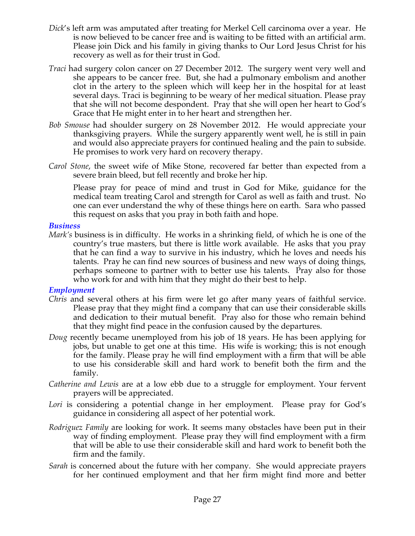- *Dick*'s left arm was amputated after treating for Merkel Cell carcinoma over a year. He is now believed to be cancer free and is waiting to be fitted with an artificial arm. Please join Dick and his family in giving thanks to Our Lord Jesus Christ for his recovery as well as for their trust in God.
- *Traci* had surgery colon cancer on 27 December 2012. The surgery went very well and she appears to be cancer free. But, she had a pulmonary embolism and another clot in the artery to the spleen which will keep her in the hospital for at least several days. Traci is beginning to be weary of her medical situation. Please pray that she will not become despondent. Pray that she will open her heart to God's Grace that He might enter in to her heart and strengthen her.
- *Bob Smouse* had shoulder surgery on 28 November 2012. He would appreciate your thanksgiving prayers. While the surgery apparently went well, he is still in pain and would also appreciate prayers for continued healing and the pain to subside. He promises to work very hard on recovery therapy.
- *Carol Stone*, the sweet wife of Mike Stone, recovered far better than expected from a severe brain bleed, but fell recently and broke her hip.

Please pray for peace of mind and trust in God for Mike, guidance for the medical team treating Carol and strength for Carol as well as faith and trust. No one can ever understand the why of these things here on earth. Sara who passed this request on asks that you pray in both faith and hope.

#### *Business*

*Mark's* business is in difficulty. He works in a shrinking field, of which he is one of the country's true masters, but there is little work available. He asks that you pray that he can find a way to survive in his industry, which he loves and needs his talents. Pray he can find new sources of business and new ways of doing things, perhaps someone to partner with to better use his talents. Pray also for those who work for and with him that they might do their best to help.

#### *Employment*

- *Chris* and several others at his firm were let go after many years of faithful service. Please pray that they might find a company that can use their considerable skills and dedication to their mutual benefit. Pray also for those who remain behind that they might find peace in the confusion caused by the departures.
- *Doug* recently became unemployed from his job of 18 years. He has been applying for jobs, but unable to get one at this time. His wife is working; this is not enough for the family. Please pray he will find employment with a firm that will be able to use his considerable skill and hard work to benefit both the firm and the family.
- *Catherine and Lewis* are at a low ebb due to a struggle for employment. Your fervent prayers will be appreciated.
- Lori is considering a potential change in her employment. Please pray for God's guidance in considering all aspect of her potential work.
- *Rodriguez Family* are looking for work. It seems many obstacles have been put in their way of finding employment. Please pray they will find employment with a firm that will be able to use their considerable skill and hard work to benefit both the firm and the family.
- *Sarah* is concerned about the future with her company. She would appreciate prayers for her continued employment and that her firm might find more and better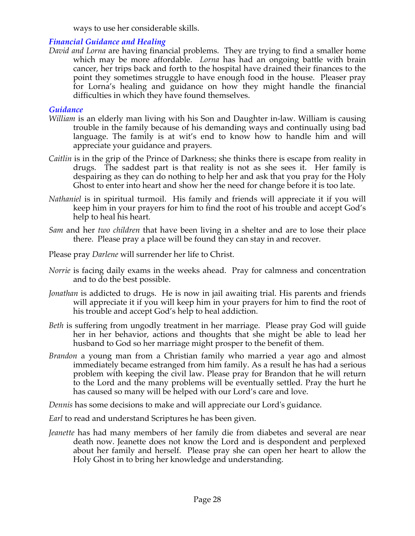ways to use her considerable skills.

### *Financial Guidance and Healing*

*David and Lorna* are having financial problems. They are trying to find a smaller home which may be more affordable. *Lorna* has had an ongoing battle with brain cancer, her trips back and forth to the hospital have drained their finances to the point they sometimes struggle to have enough food in the house. Pleaser pray for Lorna's healing and guidance on how they might handle the financial difficulties in which they have found themselves.

#### *Guidance*

- *William* is an elderly man living with his Son and Daughter in-law. William is causing trouble in the family because of his demanding ways and continually using bad language. The family is at wit's end to know how to handle him and will appreciate your guidance and prayers.
- *Caitlin* is in the grip of the Prince of Darkness; she thinks there is escape from reality in drugs. The saddest part is that reality is not as she sees it. Her family is despairing as they can do nothing to help her and ask that you pray for the Holy Ghost to enter into heart and show her the need for change before it is too late.
- *Nathaniel* is in spiritual turmoil. His family and friends will appreciate it if you will keep him in your prayers for him to find the root of his trouble and accept God's help to heal his heart.
- *Sam* and her *two children* that have been living in a shelter and are to lose their place there. Please pray a place will be found they can stay in and recover.
- Please pray *Darlene* will surrender her life to Christ.
- *Norrie* is facing daily exams in the weeks ahead. Pray for calmness and concentration and to do the best possible.
- *Jonathan* is addicted to drugs. He is now in jail awaiting trial. His parents and friends will appreciate it if you will keep him in your prayers for him to find the root of his trouble and accept God's help to heal addiction.
- *Beth* is suffering from ungodly treatment in her marriage. Please pray God will guide her in her behavior, actions and thoughts that she might be able to lead her husband to God so her marriage might prosper to the benefit of them.
- *Brandon* a young man from a Christian family who married a year ago and almost immediately became estranged from him family. As a result he has had a serious problem with keeping the civil law. Please pray for Brandon that he will return to the Lord and the many problems will be eventually settled. Pray the hurt he has caused so many will be helped with our Lord's care and love.

*Dennis* has some decisions to make and will appreciate our Lord's guidance.

*Earl* to read and understand Scriptures he has been given.

*Jeanette* has had many members of her family die from diabetes and several are near death now. Jeanette does not know the Lord and is despondent and perplexed about her family and herself. Please pray she can open her heart to allow the Holy Ghost in to bring her knowledge and understanding.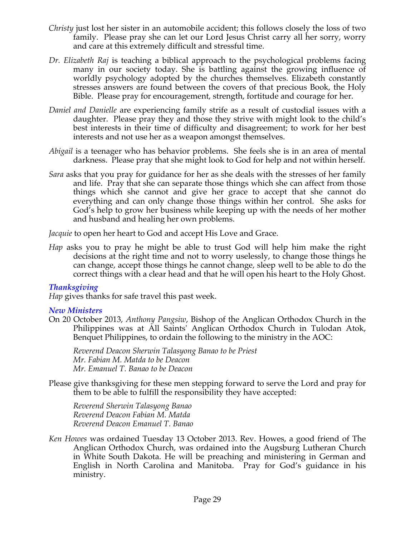- *Christy* just lost her sister in an automobile accident; this follows closely the loss of two family. Please pray she can let our Lord Jesus Christ carry all her sorry, worry and care at this extremely difficult and stressful time.
- *Dr. Elizabeth Raj* is teaching a biblical approach to the psychological problems facing many in our society today. She is battling against the growing influence of worldly psychology adopted by the churches themselves. Elizabeth constantly stresses answers are found between the covers of that precious Book, the Holy Bible. Please pray for encouragement, strength, fortitude and courage for her.
- *Daniel and Danielle* are experiencing family strife as a result of custodial issues with a daughter. Please pray they and those they strive with might look to the child's best interests in their time of difficulty and disagreement; to work for her best interests and not use her as a weapon amongst themselves.
- *Abigail* is a teenager who has behavior problems. She feels she is in an area of mental darkness. Please pray that she might look to God for help and not within herself.
- *Sara* asks that you pray for guidance for her as she deals with the stresses of her family and life. Pray that she can separate those things which she can affect from those things which she cannot and give her grace to accept that she cannot do everything and can only change those things within her control. She asks for God's help to grow her business while keeping up with the needs of her mother and husband and healing her own problems.

*Jacquie* to open her heart to God and accept His Love and Grace.

*Hap* asks you to pray he might be able to trust God will help him make the right decisions at the right time and not to worry uselessly, to change those things he can change, accept those things he cannot change, sleep well to be able to do the correct things with a clear head and that he will open his heart to the Holy Ghost.

# *Thanksgiving*

*Hap* gives thanks for safe travel this past week.

# *New Ministers*

On 20 October 2013, *Anthony Pangsiw*, Bishop of the Anglican Orthodox Church in the Philippines was at All Saints' Anglican Orthodox Church in Tulodan Atok, Benquet Philippines, to ordain the following to the ministry in the AOC:

*Reverend Deacon Sherwin Talasyong Banao to be Priest Mr. Fabian M. Matda to be Deacon Mr. Emanuel T. Banao to be Deacon*

Please give thanksgiving for these men stepping forward to serve the Lord and pray for them to be able to fulfill the responsibility they have accepted:

*Reverend Sherwin Talasyong Banao Reverend Deacon Fabian M. Matda Reverend Deacon Emanuel T. Banao*

*Ken Howes* was ordained Tuesday 13 October 2013. Rev. Howes, a good friend of The Anglican Orthodox Church, was ordained into the Augsburg Lutheran Church in White South Dakota. He will be preaching and ministering in German and English in North Carolina and Manitoba. Pray for God's guidance in his ministry.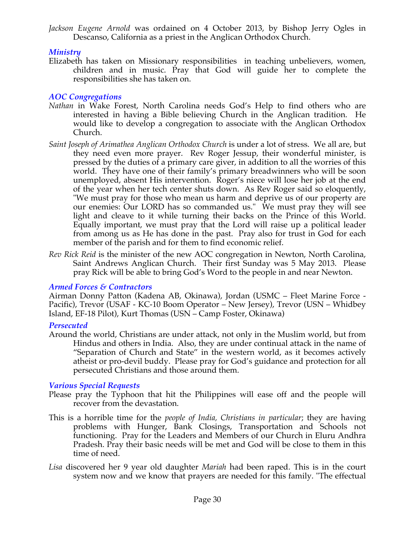*Jackson Eugene Arnold* was ordained on 4 October 2013, by Bishop Jerry Ogles in Descanso, California as a priest in the Anglican Orthodox Church.

# *Ministry*

Elizabeth has taken on Missionary responsibilities in teaching unbelievers, women, children and in music. Pray that God will guide her to complete the responsibilities she has taken on.

# *AOC Congregations*

- *Nathan* in Wake Forest, North Carolina needs God's Help to find others who are interested in having a Bible believing Church in the Anglican tradition. He would like to develop a congregation to associate with the Anglican Orthodox Church.
- *Saint Joseph of Arimathea Anglican Orthodox Church* is under a lot of stress. We all are, but they need even more prayer. Rev Roger Jessup, their wonderful minister, is pressed by the duties of a primary care giver, in addition to all the worries of this world. They have one of their family's primary breadwinners who will be soon unemployed, absent His intervention. Roger's niece will lose her job at the end of the year when her tech center shuts down. As Rev Roger said so eloquently, "We must pray for those who mean us harm and deprive us of our property are our enemies: Our LORD has so commanded us." We must pray they will see light and cleave to it while turning their backs on the Prince of this World. Equally important, we must pray that the Lord will raise up a political leader from among us as He has done in the past. Pray also for trust in God for each member of the parish and for them to find economic relief.
- *Rev Rick Reid* is the minister of the new AOC congregation in Newton, North Carolina, Saint Andrews Anglican Church. Their first Sunday was 5 May 2013. Please pray Rick will be able to bring God's Word to the people in and near Newton.

# *Armed Forces & Contractors*

Airman Donny Patton (Kadena AB, Okinawa), Jordan (USMC – Fleet Marine Force - Pacific), Trevor (USAF - KC-10 Boom Operator – New Jersey), Trevor (USN – Whidbey Island, EF-18 Pilot), Kurt Thomas (USN – Camp Foster, Okinawa)

#### *Persecuted*

Around the world, Christians are under attack, not only in the Muslim world, but from Hindus and others in India. Also, they are under continual attack in the name of "Separation of Church and State" in the western world, as it becomes actively atheist or pro-devil buddy. Please pray for God's guidance and protection for all persecuted Christians and those around them.

# *Various Special Requests*

- Please pray the Typhoon that hit the Philippines will ease off and the people will recover from the devastation.
- This is a horrible time for the *people of India, Christians in particular*; they are having problems with Hunger, Bank Closings, Transportation and Schools not functioning. Pray for the Leaders and Members of our Church in Eluru Andhra Pradesh. Pray their basic needs will be met and God will be close to them in this time of need.
- *Lisa* discovered her 9 year old daughter *Mariah* had been raped. This is in the court system now and we know that prayers are needed for this family. "The effectual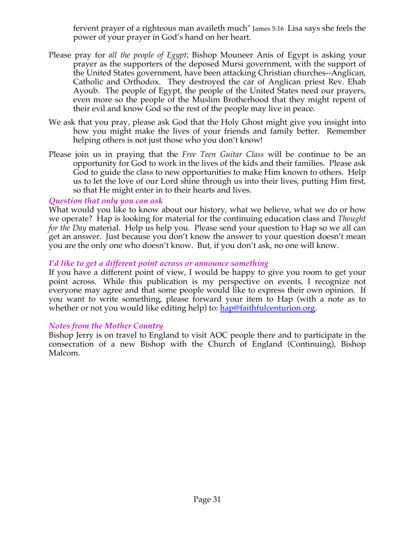fervent prayer of a righteous man availeth much" James 5:16 Lisa says she feels the power of your prayer in God's hand on her heart.

- Please pray for *all the people of Egypt*; Bishop Mouneer Anis of Egypt is asking your prayer as the supporters of the deposed Mursi government, with the support of the United States government, have been attacking Christian churches--Anglican, Catholic and Orthodox. They destroyed the car of Anglican priest Rev. Ehab Ayoub. The people of Egypt, the people of the United States need our prayers, even more so the people of the Muslim Brotherhood that they might repent of their evil and know God so the rest of the people may live in peace.
- We ask that you pray, please ask God that the Holy Ghost might give you insight into how you might make the lives of your friends and family better. Remember helping others is not just those who you don't know!
- Please join us in praying that the *Free Teen Guitar Class* will be continue to be an opportunity for God to work in the lives of the kids and their families. Please ask God to guide the class to new opportunities to make Him known to others. Help us to let the love of our Lord shine through us into their lives, putting Him first, so that He might enter in to their hearts and lives.

#### *Question that only you can ask*

What would you like to know about our history, what we believe, what we do or how we operate? Hap is looking for material for the continuing education class and *Thought for the Day* material. Help us help you. Please send your question to Hap so we all can get an answer. Just because you don't know the answer to your question doesn't mean you are the only one who doesn't know. But, if you don't ask, no one will know.

#### *I'd like to get a different point across or announce something*

If you have a different point of view, I would be happy to give you room to get your point across. While this publication is my perspective on events, I recognize not everyone may agree and that some people would like to express their own opinion. If you want to write something, please forward your item to Hap (with a note as to whether or not you would like editing help) to: hap@faithfulcenturion.org.

#### *Notes from the Mother Country*

Bishop Jerry is on travel to England to visit AOC people there and to participate in the consecration of a new Bishop with the Church of England (Continuing), Bishop Malcom.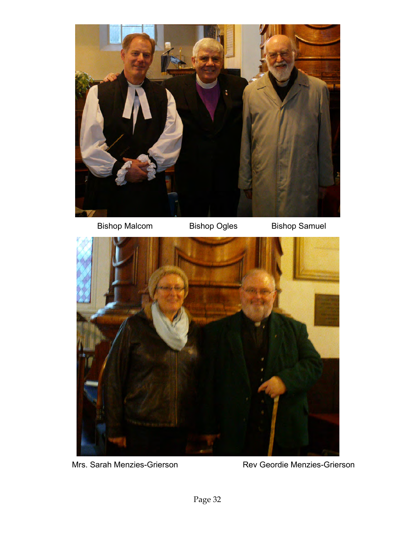



Mrs. Sarah Menzies-Grierson Rev Geordie Menzies-Grierson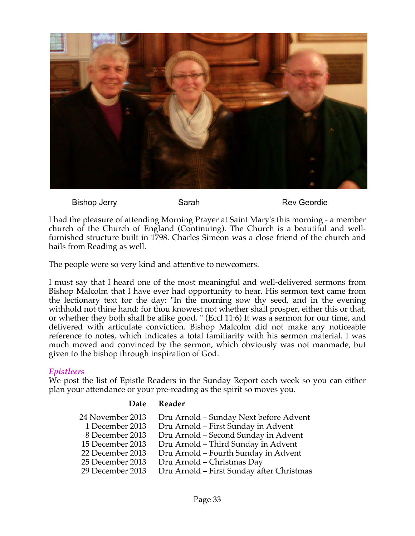

Bishop Jerry Sarah Sarah Rev Geordie

I had the pleasure of attending Morning Prayer at Saint Mary's this morning - a member church of the Church of England (Continuing). The Church is a beautiful and wellfurnished structure built in 1798. Charles Simeon was a close friend of the church and hails from Reading as well.

The people were so very kind and attentive to newcomers.

I must say that I heard one of the most meaningful and well-delivered sermons from Bishop Malcolm that I have ever had opportunity to hear. His sermon text came from the lectionary text for the day: "In the morning sow thy seed, and in the evening withhold not thine hand: for thou knowest not whether shall prosper, either this or that, or whether they both shall be alike good. " (Eccl 11:6) It was a sermon for our time, and delivered with articulate conviction. Bishop Malcolm did not make any noticeable reference to notes, which indicates a total familiarity with his sermon material. I was much moved and convinced by the sermon, which obviously was not manmade, but given to the bishop through inspiration of God.

#### *Epistleers*

We post the list of Epistle Readers in the Sunday Report each week so you can either plan your attendance or your pre-reading as the spirit so moves you.

#### **Date Reader**

| 24 November 2013 | Dru Arnold - Sunday Next before Advent    |
|------------------|-------------------------------------------|
| 1 December 2013  | Dru Arnold - First Sunday in Advent       |
| 8 December 2013  | Dru Arnold - Second Sunday in Advent      |
| 15 December 2013 | Dru Arnold - Third Sunday in Advent       |
| 22 December 2013 | Dru Arnold - Fourth Sunday in Advent      |
| 25 December 2013 | Dru Arnold - Christmas Day                |
| 29 December 2013 | Dru Arnold - First Sunday after Christmas |